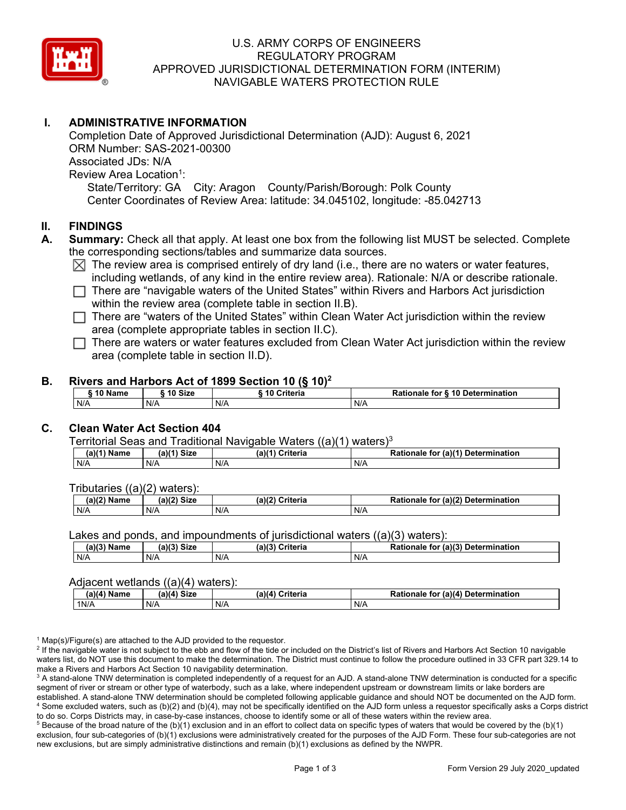

## U.S. ARMY CORPS OF ENGINEERS REGULATORY PROGRAM APPROVED JURISDICTIONAL DETERMINATION FORM (INTERIM) NAVIGABLE WATERS PROTECTION RULE

## **I. ADMINISTRATIVE INFORMATION**

Completion Date of Approved Jurisdictional Determination (AJD): August 6, 2021 ORM Number: SAS-2021-00300 Associated JDs: N/A Review Area Location<sup>1</sup>: State/Territory: GA City: Aragon County/Parish/Borough: Polk County Center Coordinates of Review Area: latitude: 34.045102, longitude: -85.042713

### **II. FINDINGS**

- **A. Summary:** Check all that apply. At least one box from the following list MUST be selected. Complete the corresponding sections/tables and summarize data sources.
	- $\boxtimes$  The review area is comprised entirely of dry land (i.e., there are no waters or water features, including wetlands, of any kind in the entire review area). Rationale: N/A or describe rationale.
	- □ There are "navigable waters of the United States" within Rivers and Harbors Act jurisdiction<br>within the review area (complete table in section ILB) within the review area (complete table in section II.B).
	- □ There are "waters of the United States" within Clean Water Act jurisdiction within the review area (complete appropriate tobles in eastion II  $\Omega$ ) area (complete appropriate tables in section II.C).
	- □ There are waters or water features excluded from Clean Water Act jurisdiction within the review<br>
	area (complete table in eastion II D) area (complete table in section II.D).

#### **B. Rivers and Harbors Act of 1899 Section 10 (§ 10)<sup>2</sup>**

| ີ <sup>1</sup> Name | $^{\circ}$ 10 Size | ---<br>Criteria | Rationale for § 10 Determination |
|---------------------|--------------------|-----------------|----------------------------------|
| N/A                 | N/A                | N/A             | N/A                              |

## **C. Clean Water Act Section 404**

#### Territorial Seas and Traditional Navigable Waters ((a)(1) waters)3

| (a)(1) Name | $^{\prime\prime\prime\prime}$ $^{\prime\prime}$ $^{\prime\prime}$ $^{\prime\prime}$ $^{\prime\prime}$ $^{\prime\prime}$ $^{\prime\prime}$ $^{\prime\prime}$ | $(a)$ $(4)$<br>Criteria | (a)(1) Determination<br>Rationale<br>tor |
|-------------|-------------------------------------------------------------------------------------------------------------------------------------------------------------|-------------------------|------------------------------------------|
| N/A         | N/A                                                                                                                                                         | N/A                     | N/f                                      |

Tributaries ((a)(2) waters):

| $1001$ $B1 -$<br>Name | $-10o$<br>$\sim$ 0.4 $\sim$<br>יגוכ | a) (2<br>`riteria | (n)<br>Determi<br>ination<br>to<br>naie |
|-----------------------|-------------------------------------|-------------------|-----------------------------------------|
| N/A                   | N/A                                 | N/F               | N/A                                     |

Lakes and ponds, and impoundments of jurisdictional waters ((a)(3) waters):

| (a)(3) Name | $(a)(3)$ Size | (a)/2<br>Criteria | . (a) $(3)$<br>Determination<br>Rationale<br>tor |
|-------------|---------------|-------------------|--------------------------------------------------|
| N/A         | N/A           | N/f               | N/A                                              |

#### Adjacent wetlands ((a)(4) waters):

|             | - - - - -<br>. |                 |                                         |
|-------------|----------------|-----------------|-----------------------------------------|
| (a)(4) Name | (a)(4) Size    | (a)(4) Criteria | for (a)(4) Determination (<br>Rationale |
| 1N/A        | N/A            | N/A             | N/A                                     |

 $1$  Map(s)/Figure(s) are attached to the AJD provided to the requestor.

<sup>2</sup> If the navigable water is not subject to the ebb and flow of the tide or included on the District's list of Rivers and Harbors Act Section 10 navigable waters list, do NOT use this document to make the determination. The District must continue to follow the procedure outlined in 33 CFR part 329.14 to make a Rivers and Harbors Act Section 10 navigability determination.

 $^3$  A stand-alone TNW determination is completed independently of a request for an AJD. A stand-alone TNW determination is conducted for a specific segment of river or stream or other type of waterbody, such as a lake, where independent upstream or downstream limits or lake borders are established. A stand-alone TNW determination should be completed following applicable guidance and should NOT be documented on the AJD form. 4 Some excluded waters, such as (b)(2) and (b)(4), may not be specifically identified on the AJD form unless a requestor specifically asks a Corps district to do so. Corps Districts may, in case-by-case instances, choose to identify some or all of these waters within the review area.

 $^5$  Because of the broad nature of the (b)(1) exclusion and in an effort to collect data on specific types of waters that would be covered by the (b)(1) exclusion, four sub-categories of (b)(1) exclusions were administratively created for the purposes of the AJD Form. These four sub-categories are not new exclusions, but are simply administrative distinctions and remain (b)(1) exclusions as defined by the NWPR.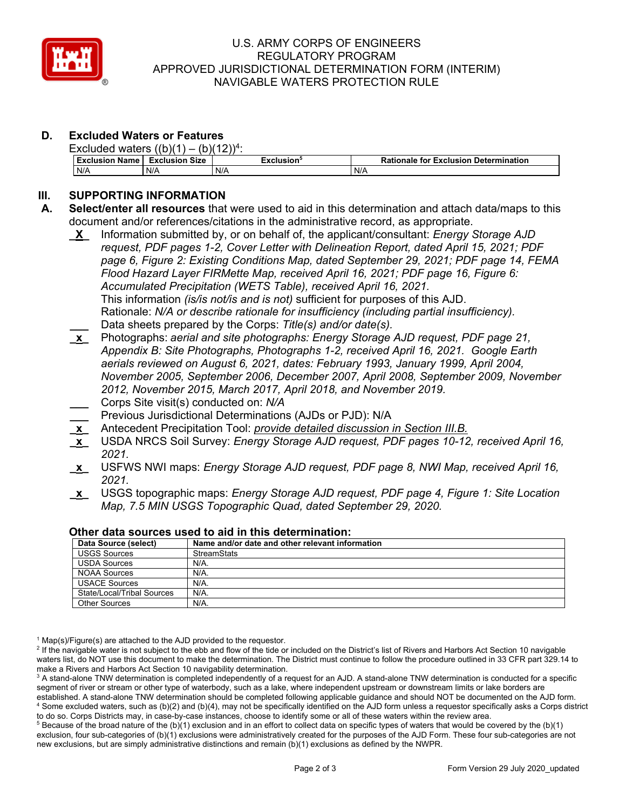

## U.S. ARMY CORPS OF ENGINEERS REGULATORY PROGRAM APPROVED JURISDICTIONAL DETERMINATION FORM (INTERIM) NAVIGABLE WATERS PROTECTION RULE

# **D. Excluded Waters or Features**

| Excluded waters $((b)(1) -$<br>$-(b)(12))$ <sup>4</sup> |                       |            |                                              |  |
|---------------------------------------------------------|-----------------------|------------|----------------------------------------------|--|
| <b>Exclusion Name</b>                                   | <b>Exclusion Size</b> | Exclusion' | <b>Rationale for Exclusion Determination</b> |  |
| N/A                                                     | N/A                   | N/A        | N/A                                          |  |

# **III. SUPPORTING INFORMATION**

- **A. Select/enter all resources** that were used to aid in this determination and attach data/maps to this document and/or references/citations in the administrative record, as appropriate.
	- **\_X\_** Information submitted by, or on behalf of, the applicant/consultant: *Energy Storage AJD request, PDF pages 1-2, Cover Letter with Delineation Report, dated April 15, 2021; PDF page 6, Figure 2: Existing Conditions Map, dated September 29, 2021; PDF page 14, FEMA Flood Hazard Layer FIRMette Map, received April 16, 2021; PDF page 16, Figure 6: Accumulated Precipitation (WETS Table), received April 16, 2021.*  This information *(is/is not/is and is not)* sufficient for purposes of this AJD. Rationale: *N/A or describe rationale for insufficiency (including partial insufficiency).*  **\_\_\_** Data sheets prepared by the Corps: *Title(s) and/or date(s).*
	- **\_x\_** Photographs: *aerial and site photographs: Energy Storage AJD request, PDF page 21, Appendix B: Site Photographs, Photographs 1-2, received April 16, 2021. Google Earth aerials reviewed on August 6, 2021, dates: February 1993, January 1999, April 2004, November 2005, September 2006, December 2007, April 2008, September 2009, November 2012, November 2015, March 2017, April 2018, and November 2019.*
	- **\_\_\_** Corps Site visit(s) conducted on: *N/A*
	- **\_\_\_** Previous Jurisdictional Determinations (AJDs or PJD): N/A
	- **\_x\_** Antecedent Precipitation Tool: *provide detailed discussion in Section III.B.*
	- **\_x\_** USDA NRCS Soil Survey: *Energy Storage AJD request, PDF pages 10-12, received April 16, 2021.*
	- **\_x\_** USFWS NWI maps: *Energy Storage AJD request, PDF page 8, NWI Map, received April 16, 2021.*
	- **\_x\_** USGS topographic maps: *Energy Storage AJD request, PDF page 4, Figure 1: Site Location Map, 7.5 MIN USGS Topographic Quad, dated September 29, 2020.*

| Data Source (select)       | Name and/or date and other relevant information |
|----------------------------|-------------------------------------------------|
| <b>USGS Sources</b>        | <b>StreamStats</b>                              |
| <b>USDA Sources</b>        | $N/A$ .                                         |
| NOAA Sources               | N/A.                                            |
| <b>USACE Sources</b>       | $N/A$ .                                         |
| State/Local/Tribal Sources | N/A.                                            |
| Other Sources              | N/A.                                            |

### **Other data sources used to aid in this determination:**

 $1$  Map(s)/Figure(s) are attached to the AJD provided to the requestor.

<sup>2</sup> If the navigable water is not subject to the ebb and flow of the tide or included on the District's list of Rivers and Harbors Act Section 10 navigable waters list, do NOT use this document to make the determination. The District must continue to follow the procedure outlined in 33 CFR part 329.14 to make a Rivers and Harbors Act Section 10 navigability determination.

 $^3$  A stand-alone TNW determination is completed independently of a request for an AJD. A stand-alone TNW determination is conducted for a specific segment of river or stream or other type of waterbody, such as a lake, where independent upstream or downstream limits or lake borders are established. A stand-alone TNW determination should be completed following applicable guidance and should NOT be documented on the AJD form. 4 Some excluded waters, such as (b)(2) and (b)(4), may not be specifically identified on the AJD form unless a requestor specifically asks a Corps district to do so. Corps Districts may, in case-by-case instances, choose to identify some or all of these waters within the review area.

 $^5$  Because of the broad nature of the (b)(1) exclusion and in an effort to collect data on specific types of waters that would be covered by the (b)(1) exclusion, four sub-categories of (b)(1) exclusions were administratively created for the purposes of the AJD Form. These four sub-categories are not new exclusions, but are simply administrative distinctions and remain (b)(1) exclusions as defined by the NWPR.